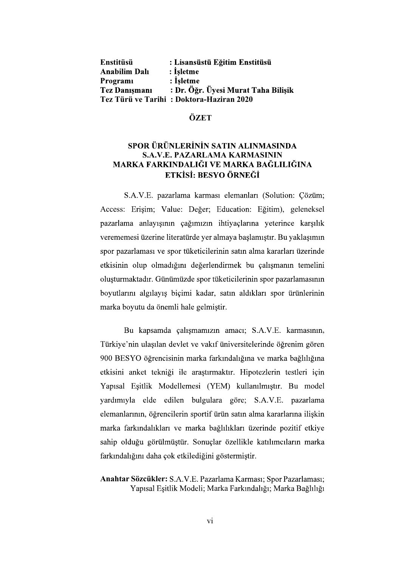| Enstitüsü            | : Lisansüstü Eğitim Enstitüsü            |
|----------------------|------------------------------------------|
| <b>Anabilim Dalı</b> | : İsletme                                |
| Programi             | : Isletme                                |
| <b>Tez Danışmanı</b> | : Dr. Öğr. Üyesi Murat Taha Bilişik      |
|                      | Tez Türü ve Tarihi: Doktora-Haziran 2020 |

#### **ÖZET**

# SPOR ÜRÜNLERİNİN SATIN ALINMASINDA<br>S.A.V.E. PAZARLAMA KARMASININ MARKA FARKINDALIĞI VE MARKA BAĞLILIĞINA ETKİSİ: BESYO ÖRNEĞİ

S.A.V.E. pazarlama karması elemanları (Solution: Çözüm; Access: Erişim; Value: Değer; Education: Eğitim), geleneksel pazarlama anlayışının çağımızın ihtiyaçlarına yeterince karşılık verememesi üzerine literatürde yer almaya başlamıştır. Bu yaklaşımın spor pazarlaması ve spor tüketicilerinin satın alma kararları üzerinde etkisinin olup olmadığını değerlendirmek bu çalışmanın temelini olusturmaktadır. Günümüzde spor tüketicilerinin spor pazarlamasının boyutlarını algılayış biçimi kadar, satın aldıkları spor ürünlerinin marka boyutu da önemli hale gelmistir.

rmasının,<br>ağlılığına<br>ağlılığına<br>tleri için<br>u model yardımıyla elde edilen bulgulara göre; S.A.V.E. pazarlama elemanlarının, öğrencilerin sportif ürün satın alma kararlarına ilişkin marka farkındalıkları ve marka bağlılıkları üzerinde pozitif etkiye sahip olduğu görülmüştür. Sonuçlar özellikle katılımcıların marka farkındalığını daha çok etkilediğini göstermiştir.

## Anahtar Sözcükler: S.A.V.E. Pazarlama Karması; Spor Pazarlaması; Yapısal Eşitlik Modeli; Marka Farkındalığı; Marka Bağlılığı